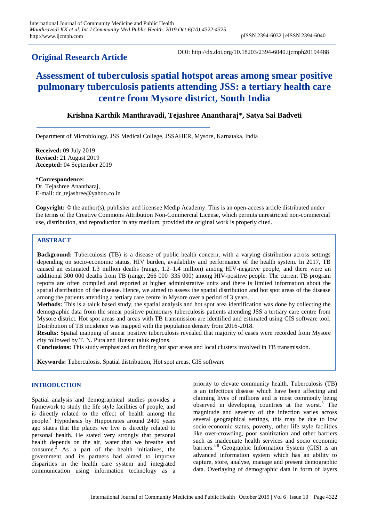# **Original Research Article**

DOI: http://dx.doi.org/10.18203/2394-6040.ijcmph20194488

# **Assessment of tuberculosis spatial hotspot areas among smear positive pulmonary tuberculosis patients attending JSS: a tertiary health care centre from Mysore district, South India**

# **Krishna Karthik Manthravadi, Tejashree Anantharaj**\***, Satya Sai Badveti**

Department of Microbiology, JSS Medical College, JSSAHER, Mysore, Karnataka, India

**Received:** 09 July 2019 **Revised:** 21 August 2019 **Accepted:** 04 September 2019

**\*Correspondence:** Dr. Tejashree Anantharaj, E-mail: dr\_tejashree@yahoo.co.in

**Copyright:** © the author(s), publisher and licensee Medip Academy. This is an open-access article distributed under the terms of the Creative Commons Attribution Non-Commercial License, which permits unrestricted non-commercial use, distribution, and reproduction in any medium, provided the original work is properly cited.

# **ABSTRACT**

**Background:** Tuberculosis (TB) is a disease of public health concern, with a varying distribution across settings depending on socio-economic status, HIV burden, availability and performance of the health system. In 2017, TB caused an estimated 1.3 million deaths (range, 1.2–1.4 million) among HIV-negative people, and there were an additional 300 000 deaths from TB (range, 266 000–335 000) among HIV-positive people. The current TB program reports are often compiled and reported at higher administrative units and there is limited information about the spatial distribution of the disease. Hence, we aimed to assess the spatial distribution and hot spot areas of the disease among the patients attending a tertiary care centre in Mysore over a period of 3 years.

**Methods:** This is a taluk based study, the spatial analysis and hot spot area identification was done by collecting the demographic data from the smear positive pulmonary tuberculosis patients attending JSS a tertiary care centre from Mysore district. Hot spot areas and areas with TB transmission are identified and estimated using GIS software tool. Distribution of TB incidence was mapped with the population density from 2016-2018.

**Results:** Spatial mapping of smear positive tuberculosis revealed that majority of cases were recorded from Mysore city followed by T. N. Pura and Hunsur taluk regions.

**Conclusions:** This study emphasized on finding hot spot areas and local clusters involved in TB transmission.

**Keywords:** Tuberculosis, Spatial distribution, Hot spot areas, GIS software

# **INTRODUCTION**

Spatial analysis and demographical studies provides a framework to study the life style facilities of people, and is directly related to the effect of health among the people. <sup>1</sup> Hypothesis by Hippocrates around 2400 years ago states that the places we live is directly related to personal health. He stated very strongly that personal health depends on the air, water that we breathe and consume.<sup>2</sup> As a part of the health initiatives, the government and its partners had aimed to improve disparities in the health care system and integrated communication using information technology as a priority to elevate community health. Tuberculosis (TB) is an infectious disease which have been affecting and claiming lives of millions and is most commonly being observed in developing countries at the worst. <sup>3</sup> The magnitude and severity of the infection varies across several geographical settings, this may be due to low socio-economic status, poverty, other life style facilities like over-crowding, poor sanitization and other barriers such as inadequate health services and socio economic barriers. 4-8 Geographic Information System (GIS) is an advanced information system which has an ability to capture, store, analyse, manage and present demographic data. Overlaying of demographic data in form of layers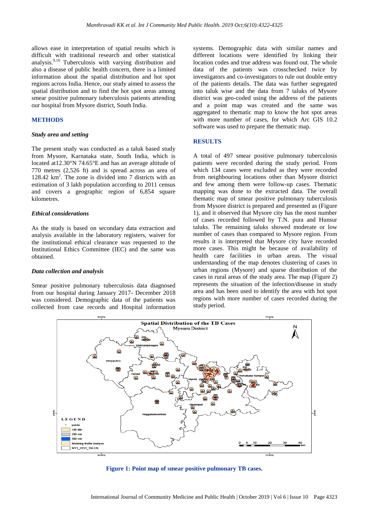allows ease in interpretation of spatial results which is difficult with traditional research and other statistical analysis.<sup>9,10</sup> Tuberculosis with varying distribution and also a disease of public health concern, there is a limited information about the spatial distribution and hot spot regions across India. Hence, our study aimed to assess the spatial distribution and to find the hot spot areas among smear positive pulmonary tuberculosis patients attending our hospital from Mysore district, South India.

# **METHODS**

#### *Study area and setting*

The present study was conducted as a taluk based study from Mysore, Karnataka state, South India, which is located at12.30°N 74.65°E and has an average altitude of 770 metres (2,526 ft) and is spread across an area of 128.42 km<sup>2</sup>. The zone is divided into 7 districts with an estimation of 3 lakh population according to 2011 census and covers a geographic region of 6,854 square kilometres.

#### *Ethical considerations*

As the study is based on secondary data extraction and analysis available in the laboratory registers, waiver for the institutional ethical clearance was requested to the Institutional Ethics Committee (IEC) and the same was obtained.

#### *Data collection and analysis*

Smear positive pulmonary tuberculosis data diagnosed from our hospital during January 2017- December 2018 was considered. Demographic data of the patients was collected from case records and Hospital information systems. Demographic data with similar names and different locations were identified by linking their location codes and true address was found out. The whole data of the patients was crosschecked twice by investigators and co-investigators to rule out double entry of the patients details. The data was further segregated into taluk wise and the data from 7 taluks of Mysore district was geo-coded using the address of the patients and a point map was created and the same was aggregated to thematic map to know the hot spot areas with more number of cases, for which Arc GIS 10.2 software was used to prepare the thematic map.

# **RESULTS**

A total of 497 smear positive pulmonary tuberculosis patients were recorded during the study period. From which 134 cases were excluded as they were recorded from neighbouring locations other than Mysore district and few among them were follow-up cases. Thematic mapping was done to the extracted data. The overall thematic map of smear positive pulmonary tuberculosis from Mysore district is prepared and presented as (Figure 1), and it observed that Mysore city has the most number of cases recorded followed by T.N. pura and Hunsur taluks. The remaining taluks showed moderate or low number of cases than compared to Mysore region. From results it is interpreted that Mysore city have recorded more cases. This might be because of availability of health care facilities in urban areas. The visual understanding of the map denotes clustering of cases in urban regions (Mysore) and sparse distribution of the cases in rural areas of the study area. The map (Figure 2) represents the situation of the infection/disease in study area and has been used to identify the area with hot spot regions with more number of cases recorded during the study period.



**Figure 1: Point map of smear positive pulmonary TB cases.**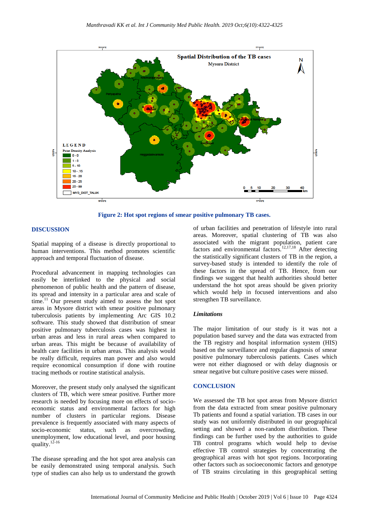

**Figure 2: Hot spot regions of smear positive pulmonary TB cases.**

## **DISCUSSION**

Spatial mapping of a disease is directly proportional to human interventions. This method promotes scientific approach and temporal fluctuation of disease.

Procedural advancement in mapping technologies can easily be interlinked to the physical and social phenomenon of public health and the pattern of disease, its spread and intensity in a particular area and scale of time.<sup>11</sup> Our present study aimed to assess the hot spot areas in Mysore district with smear positive pulmonary tuberculosis patients by implementing Arc GIS 10.2 software. This study showed that distribution of smear positive pulmonary tuberculosis cases was highest in urban areas and less in rural areas when compared to urban areas. This might be because of availability of health care facilities in urban areas. This analysis would be really difficult, requires man power and also would require economical consumption if done with routine tracing methods or routine statistical analysis.

Moreover, the present study only analysed the significant clusters of TB, which were smear positive. Further more research is needed by focusing more on effects of socioeconomic status and environmental factors for high number of clusters in particular regions. Disease prevalence is frequently associated with many aspects of socio-economic status, such as overcrowding, unemployment, low educational level, and poor housing quality. $12-16$ 

The disease spreading and the hot spot area analysis can be easily demonstrated using temporal analysis. Such type of studies can also help us to understand the growth of urban facilities and penetration of lifestyle into rural areas. Moreover, spatial clustering of TB was also associated with the migrant population, patient care factors and environmental factors.<sup>12,17,18</sup> After detecting the statistically significant clusters of TB in the region, a survey-based study is intended to identify the role of these factors in the spread of TB. Hence, from our findings we suggest that health authorities should better understand the hot spot areas should be given priority which would help in focused interventions and also strengthen TB surveillance.

## *Limitations*

The major limitation of our study is it was not a population based survey and the data was extracted from the TB registry and hospital information system (HIS) based on the surveillance and regular diagnosis of smear positive pulmonary tuberculosis patients. Cases which were not either diagnosed or with delay diagnosis or smear negative but culture positive cases were missed.

## **CONCLUSION**

We assessed the TB hot spot areas from Mysore district from the data extracted from smear positive pulmonary Tb patients and found a spatial variation. TB cases in our study was not uniformly distributed in our geographical setting and showed a non-random distribution. These findings can be further used by the authorities to guide TB control programs which would help to devise effective TB control strategies by concentrating the geographical areas with hot spot regions. Incorporating other factors such as socioeconomic factors and genotype of TB strains circulating in this geographical setting